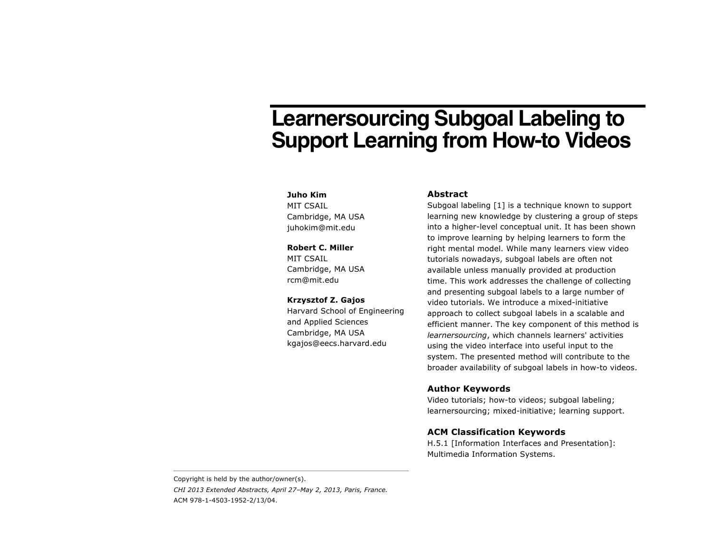# **Learnersourcing Subgoal Labeling to Support Learning from How-to Videos**

#### **Juho Kim**

MIT CSAIL Cambridge, MA USA juhokim@mit.edu

## **Robert C. Miller**

MIT CSAIL Cambridge, MA USA rcm@mit.edu

#### **Krzysztof Z. Gajos**

Harvard School of Engineering and Applied Sciences Cambridge, MA USA kgajos@eecs.harvard.edu

# **Abstract**

Subgoal labeling [1] is a technique known to support learning new knowledge by clustering a group of steps into a higher-level conceptual unit. It has been shown to improve learning by helping learners to form the right mental model. While many learners view video tutorials nowadays, subgoal labels are often not available unless manually provided at production time. This work addresses the challenge of collecting and presenting subgoal labels to a large number of video tutorials. We introduce a mixed-initiative approach to collect subgoal labels in a scalable and efficient manner. The key component of this method is *learnersourcing*, which channels learners' activities using the video interface into useful input to the system. The presented method will contribute to the broader availability of subgoal labels in how-to videos.

## **Author Keywords**

Video tutorials; how-to videos; subgoal labeling; learnersourcing; mixed-initiative; learning support.

# **ACM Classification Keywords**

H.5.1 [Information Interfaces and Presentation]: Multimedia Information Systems.

Copyright is held by the author/owner(s). *CHI 2013 Extended Abstracts, April 27–May 2, 2013, Paris, France.*  ACM 978-1-4503-1952-2/13/04.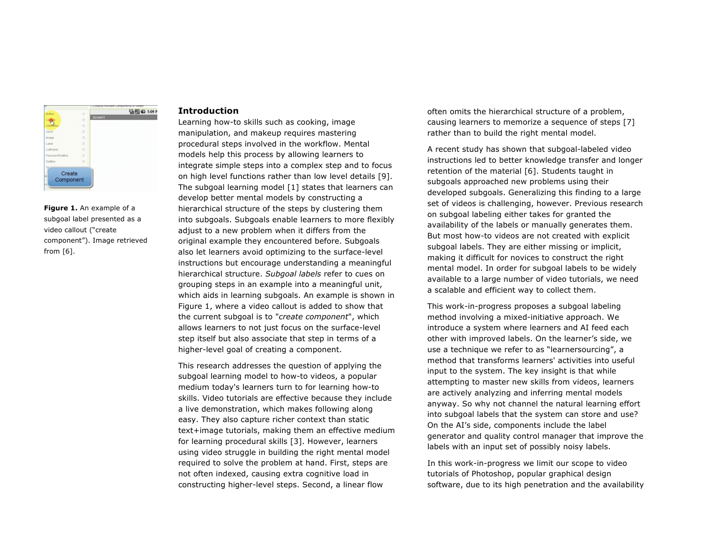

**Figure 1.** An example of a subgoal label presented as a video callout ("create component"). Image retrieved from [6].

#### **Introduction**

Learning how-to skills such as cooking, image manipulation, and makeup requires mastering procedural steps involved in the workflow. Mental models help this process by allowing learners to integrate simple steps into a complex step and to focus on high level functions rather than low level details [9]. The subgoal learning model [1] states that learners can develop better mental models by constructing a hierarchical structure of the steps by clustering them into subgoals. Subgoals enable learners to more flexibly adjust to a new problem when it differs from the original example they encountered before. Subgoals also let learners avoid optimizing to the surface-level instructions but encourage understanding a meaningful hierarchical structure. *Subgoal labels* refer to cues on grouping steps in an example into a meaningful unit, which aids in learning subgoals. An example is shown in Figure 1, where a video callout is added to show that the current subgoal is to "*create component*", which allows learners to not just focus on the surface-level step itself but also associate that step in terms of a higher-level goal of creating a component.

This research addresses the question of applying the subgoal learning model to how-to videos, a popular medium today's learners turn to for learning how-to skills. Video tutorials are effective because they include a live demonstration, which makes following along easy. They also capture richer context than static text+image tutorials, making them an effective medium for learning procedural skills [3]. However, learners using video struggle in building the right mental model required to solve the problem at hand. First, steps are not often indexed, causing extra cognitive load in constructing higher-level steps. Second, a linear flow

often omits the hierarchical structure of a problem, causing learners to memorize a sequence of steps [7] rather than to build the right mental model.

A recent study has shown that subgoal-labeled video instructions led to better knowledge transfer and longer retention of the material [6]. Students taught in subgoals approached new problems using their developed subgoals. Generalizing this finding to a large set of videos is challenging, however. Previous research on subgoal labeling either takes for granted the availability of the labels or manually generates them. But most how-to videos are not created with explicit subgoal labels. They are either missing or implicit, making it difficult for novices to construct the right mental model. In order for subgoal labels to be widely available to a large number of video tutorials, we need a scalable and efficient way to collect them.

This work-in-progress proposes a subgoal labeling method involving a mixed-initiative approach. We introduce a system where learners and AI feed each other with improved labels. On the learner's side, we use a technique we refer to as "learnersourcing", a method that transforms learners' activities into useful input to the system. The key insight is that while attempting to master new skills from videos, learners are actively analyzing and inferring mental models anyway. So why not channel the natural learning effort into subgoal labels that the system can store and use? On the AI's side, components include the label generator and quality control manager that improve the labels with an input set of possibly noisy labels.

In this work-in-progress we limit our scope to video tutorials of Photoshop, popular graphical design software, due to its high penetration and the availability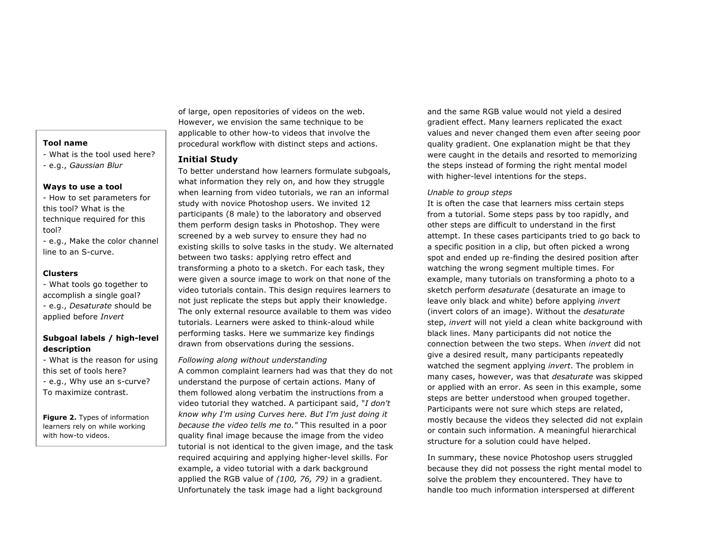### **Tool name**

- What is the tool used here? - e.g., *Gaussian Blur*

### **Ways to use a tool**

- How to set parameters for this tool? What is the technique required for this tool?

- e.g., Make the color channel line to an S-curve.

### **Clusters**

- What tools go together to accomplish a single goal? - e.g., *Desaturate* should be applied before *Invert*

# **Subgoal labels / high-level description**

- What is the reason for using this set of tools here? - e.g., Why use an s-curve? To maximize contrast.

**Figure 2.** Types of information learners rely on while working with how-to videos.

of large, open repositories of videos on the web. However, we envision the same technique to be applicable to other how-to videos that involve the procedural workflow with distinct steps and actions.

# **Initial Study**

To better understand how learners formulate subgoals, what information they rely on, and how they struggle when learning from video tutorials, we ran an informal study with novice Photoshop users. We invited 12 participants (8 male) to the laboratory and observed them perform design tasks in Photoshop. They were screened by a web survey to ensure they had no existing skills to solve tasks in the study. We alternated between two tasks: applying retro effect and transforming a photo to a sketch. For each task, they were given a source image to work on that none of the video tutorials contain. This design requires learners to not just replicate the steps but apply their knowledge. The only external resource available to them was video tutorials. Learners were asked to think-aloud while performing tasks. Here we summarize key findings drawn from observations during the sessions.

*Following along without understanding*

A common complaint learners had was that they do not understand the purpose of certain actions. Many of them followed along verbatim the instructions from a video tutorial they watched. A participant said, "*I don't know why I'm using Curves here. But I'm just doing it because the video tells me to."* This resulted in a poor quality final image because the image from the video tutorial is not identical to the given image, and the task required acquiring and applying higher-level skills. For example, a video tutorial with a dark background applied the RGB value of *(100, 76, 79)* in a gradient. Unfortunately the task image had a light background

and the same RGB value would not yield a desired gradient effect. Many learners replicated the exact values and never changed them even after seeing poor quality gradient. One explanation might be that they were caught in the details and resorted to memorizing the steps instead of forming the right mental model with higher-level intentions for the steps.

### *Unable to group steps*

It is often the case that learners miss certain steps from a tutorial. Some steps pass by too rapidly, and other steps are difficult to understand in the first attempt. In these cases participants tried to go back to a specific position in a clip, but often picked a wrong spot and ended up re-finding the desired position after watching the wrong segment multiple times. For example, many tutorials on transforming a photo to a sketch perform *desaturate* (desaturate an image to leave only black and white) before applying *invert* (invert colors of an image). Without the *desaturate* step, *invert* will not yield a clean white background with black lines. Many participants did not notice the connection between the two steps. When *invert* did not give a desired result, many participants repeatedly watched the segment applying *invert*. The problem in many cases, however, was that *desaturate* was skipped or applied with an error. As seen in this example, some steps are better understood when grouped together. Participants were not sure which steps are related, mostly because the videos they selected did not explain or contain such information. A meaningful hierarchical structure for a solution could have helped.

In summary, these novice Photoshop users struggled because they did not possess the right mental model to solve the problem they encountered. They have to handle too much information interspersed at different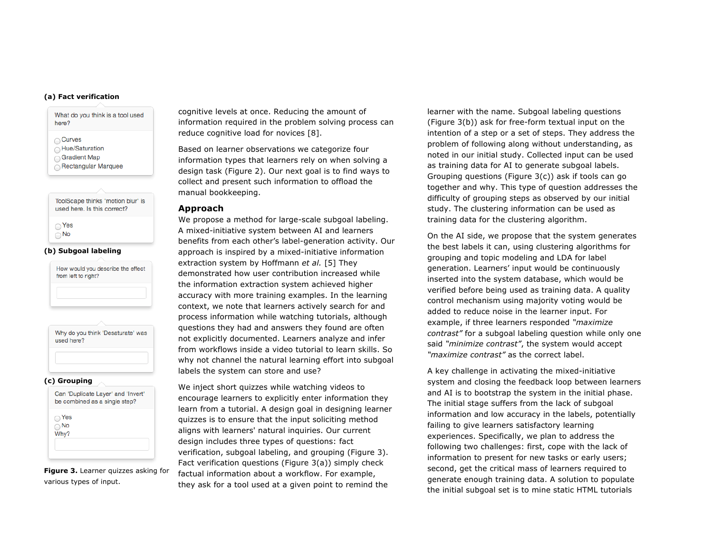#### **(a) Fact verification**

What do you think is a tool used here?

○ Curves Hue/Saturation Gradient Map Rectangular Marquee

ToolScape thinks 'motion blur' is used here. Is this correct?

 $\bigcirc$  Yes  $\bigcirc$  No

#### **(b) Subgoal labeling**

| How would you describe the effect<br>from left to right? |
|----------------------------------------------------------|
|                                                          |
| Why do you think 'Desaturate' was                        |
| used here?                                               |
|                                                          |

### **(c) Grouping**

| Can 'Duplicate Layer' and 'Invert'<br>be combined as a single step? |
|---------------------------------------------------------------------|
| Yes<br>No<br>Why?                                                   |
|                                                                     |

**Figure 3.** Learner quizzes asking for various types of input.

cognitive levels at once. Reducing the amount of information required in the problem solving process can reduce cognitive load for novices [8].

Based on learner observations we categorize four information types that learners rely on when solving a design task (Figure 2). Our next goal is to find ways to collect and present such information to offload the manual bookkeeping.

## **Approach**

We propose a method for large-scale subgoal labeling. A mixed-initiative system between AI and learners benefits from each other's label-generation activity. Our approach is inspired by a mixed-initiative information extraction system by Hoffmann *et al.* [5] They demonstrated how user contribution increased while the information extraction system achieved higher accuracy with more training examples. In the learning context, we note that learners actively search for and process information while watching tutorials, although questions they had and answers they found are often not explicitly documented. Learners analyze and infer from workflows inside a video tutorial to learn skills. So why not channel the natural learning effort into subgoal labels the system can store and use?

We inject short quizzes while watching videos to encourage learners to explicitly enter information they learn from a tutorial. A design goal in designing learner quizzes is to ensure that the input soliciting method aligns with learners' natural inquiries. Our current design includes three types of questions: fact verification, subgoal labeling, and grouping (Figure 3). Fact verification questions (Figure 3(a)) simply check factual information about a workflow. For example, they ask for a tool used at a given point to remind the

learner with the name. Subgoal labeling questions (Figure 3(b)) ask for free-form textual input on the intention of a step or a set of steps. They address the problem of following along without understanding, as noted in our initial study. Collected input can be used as training data for AI to generate subgoal labels. Grouping questions (Figure 3(c)) ask if tools can go together and why. This type of question addresses the difficulty of grouping steps as observed by our initial study. The clustering information can be used as training data for the clustering algorithm.

On the AI side, we propose that the system generates the best labels it can, using clustering algorithms for grouping and topic modeling and LDA for label generation. Learners' input would be continuously inserted into the system database, which would be verified before being used as training data. A quality control mechanism using majority voting would be added to reduce noise in the learner input. For example, if three learners responded *"maximize contrast"* for a subgoal labeling question while only one said *"minimize contrast"*, the system would accept *"maximize contrast"* as the correct label.

A key challenge in activating the mixed-initiative system and closing the feedback loop between learners and AI is to bootstrap the system in the initial phase. The initial stage suffers from the lack of subgoal information and low accuracy in the labels, potentially failing to give learners satisfactory learning experiences. Specifically, we plan to address the following two challenges: first, cope with the lack of information to present for new tasks or early users; second, get the critical mass of learners required to generate enough training data. A solution to populate the initial subgoal set is to mine static HTML tutorials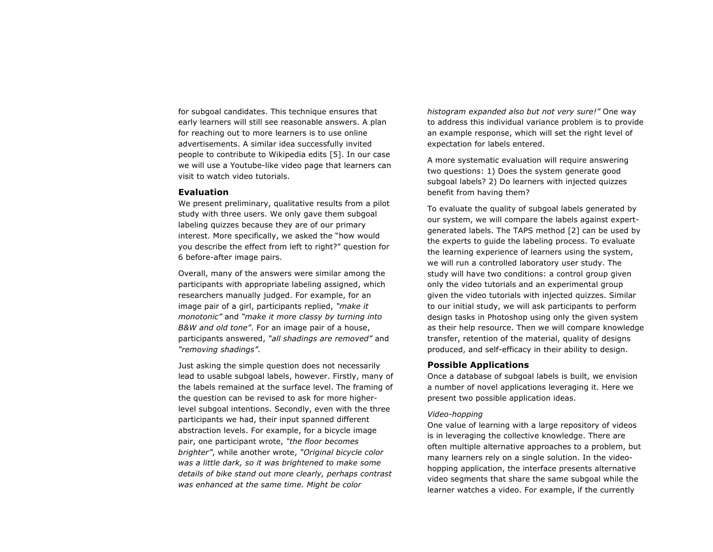for subgoal candidates. This technique ensures that early learners will still see reasonable answers. A plan for reaching out to more learners is to use online advertisements. A similar idea successfully invited people to contribute to Wikipedia edits [5]. In our case we will use a Youtube-like video page that learners can visit to watch video tutorials.

## **Evaluation**

We present preliminary, qualitative results from a pilot study with three users. We only gave them subgoal labeling quizzes because they are of our primary interest. More specifically, we asked the "how would you describe the effect from left to right?" question for 6 before-after image pairs.

Overall, many of the answers were similar among the participants with appropriate labeling assigned, which researchers manually judged. For example, for an image pair of a girl, participants replied, *"make it monotonic"* and *"make it more classy by turning into B&W and old tone"*. For an image pair of a house, participants answered, *"all shadings are removed"* and *"removing shadings".*

Just asking the simple question does not necessarily lead to usable subgoal labels, however. Firstly, many of the labels remained at the surface level. The framing of the question can be revised to ask for more higherlevel subgoal intentions. Secondly, even with the three participants we had, their input spanned different abstraction levels. For example, for a bicycle image pair, one participant wrote, *"the floor becomes brighter"*, while another wrote, *"Original bicycle color was a little dark, so it was brightened to make some details of bike stand out more clearly, perhaps contrast was enhanced at the same time. Might be color* 

*histogram expanded also but not very sure!"* One way to address this individual variance problem is to provide an example response, which will set the right level of expectation for labels entered.

A more systematic evaluation will require answering two questions: 1) Does the system generate good subgoal labels? 2) Do learners with injected quizzes benefit from having them?

To evaluate the quality of subgoal labels generated by our system, we will compare the labels against expertgenerated labels. The TAPS method [2] can be used by the experts to guide the labeling process. To evaluate the learning experience of learners using the system, we will run a controlled laboratory user study. The study will have two conditions: a control group given only the video tutorials and an experimental group given the video tutorials with injected quizzes. Similar to our initial study, we will ask participants to perform design tasks in Photoshop using only the given system as their help resource. Then we will compare knowledge transfer, retention of the material, quality of designs produced, and self-efficacy in their ability to design.

# **Possible Applications**

Once a database of subgoal labels is built, we envision a number of novel applications leveraging it. Here we present two possible application ideas.

#### *Video-hopping*

One value of learning with a large repository of videos is in leveraging the collective knowledge. There are often multiple alternative approaches to a problem, but many learners rely on a single solution. In the videohopping application, the interface presents alternative video segments that share the same subgoal while the learner watches a video. For example, if the currently